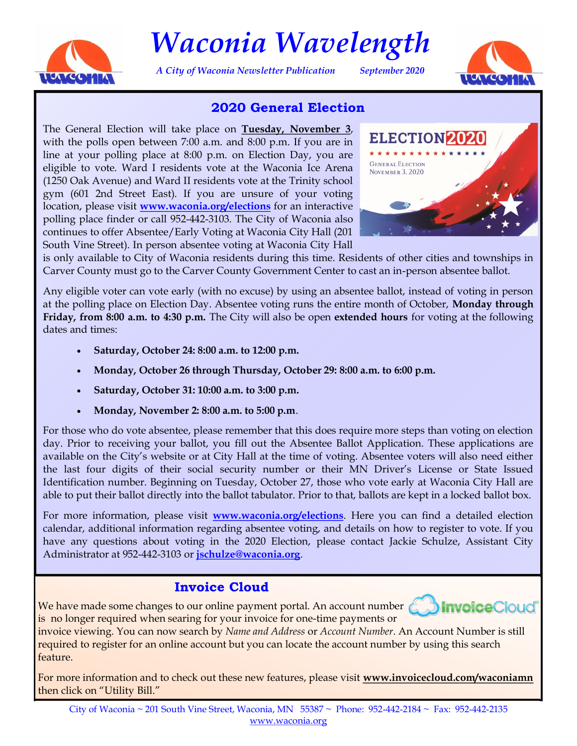

# *Waconia Wavelength*

*A City of Waconia Newsletter Publication September 2020*



# **2020 General Election**

The General Election will take place on **Tuesday, November 3**, with the polls open between 7:00 a.m. and 8:00 p.m. If you are in line at your polling place at 8:00 p.m. on Election Day, you are eligible to vote. Ward I residents vote at the Waconia Ice Arena (1250 Oak Avenue) and Ward II residents vote at the Trinity school gym (601 2nd Street East). If you are unsure of your voting location, please visit **<www.waconia.org/elections>** for an interactive polling place finder or call 952-442-3103. The City of Waconia also continues to offer Absentee/Early Voting at Waconia City Hall (201 South Vine Street). In person absentee voting at Waconia City Hall



is only available to City of Waconia residents during this time. Residents of other cities and townships in Carver County must go to the Carver County Government Center to cast an in-person absentee ballot.

Any eligible voter can vote early (with no excuse) by using an absentee ballot, instead of voting in person at the polling place on Election Day. Absentee voting runs the entire month of October, **Monday through Friday, from 8:00 a.m. to 4:30 p.m.** The City will also be open **extended hours** for voting at the following dates and times:

- **Saturday, October 24: 8:00 a.m. to 12:00 p.m.**
- **Monday, October 26 through Thursday, October 29: 8:00 a.m. to 6:00 p.m.**
- **Saturday, October 31: 10:00 a.m. to 3:00 p.m.**
- **Monday, November 2: 8:00 a.m. to 5:00 p.m**.

For those who do vote absentee, please remember that this does require more steps than voting on election day. Prior to receiving your ballot, you fill out the Absentee Ballot Application. These applications are available on the City's website or at City Hall at the time of voting. Absentee voters will also need either the last four digits of their social security number or their MN Driver's License or State Issued Identification number. Beginning on Tuesday, October 27, those who vote early at Waconia City Hall are able to put their ballot directly into the ballot tabulator. Prior to that, ballots are kept in a locked ballot box.

For more information, please visit **<www.waconia.org/elections>**. Here you can find a detailed election calendar, additional information regarding absentee voting, and details on how to register to vote. If you have any questions about voting in the 2020 Election, please contact Jackie Schulze, Assistant City Administrator at 952-442-3103 or **jschulze@waconia.org**.

# **Invoice Cloud**

We have made some changes to our online payment portal. An account number is no longer required when searing for your invoice for one-time payments or



invoice viewing. You can now search by *Name and Address* or *Account Number*. An Account Number is still required to register for an online account but you can locate the account number by using this search feature.

For more information and to check out these new features, please visit **[www.invoicecloud.com/waconiamn](https://www.invoicecloud.com/portal/(S(jm5g3wykkhahbxgvdxlbqrty))/2/Site.aspx?G=f4f1aed3-a614-4de8-b90a-81385f6cdf74)**  then click on "Utility Bill."